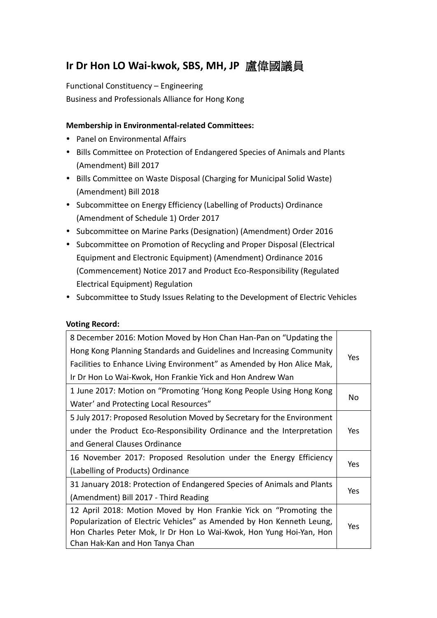# **Ir Dr Hon LO Wai-kwok, SBS, MH, JP** 盧偉國議員

Functional Constituency – Engineering Business and Professionals Alliance for Hong Kong

### **Membership in Environmental-related Committees:**

- Panel on Environmental Affairs
- Bills Committee on Protection of Endangered Species of Animals and Plants (Amendment) Bill 2017
- Bills Committee on Waste Disposal (Charging for Municipal Solid Waste) (Amendment) Bill 2018
- Subcommittee on Energy Efficiency (Labelling of Products) Ordinance (Amendment of Schedule 1) Order 2017
- Subcommittee on Marine Parks (Designation) (Amendment) Order 2016
- Subcommittee on Promotion of Recycling and Proper Disposal (Electrical Equipment and Electronic Equipment) (Amendment) Ordinance 2016 (Commencement) Notice 2017 and Product Eco-Responsibility (Regulated Electrical Equipment) Regulation
- Subcommittee to Study Issues Relating to the Development of Electric Vehicles

#### **Voting Record:**

| 8 December 2016: Motion Moved by Hon Chan Han-Pan on "Updating the      |      |
|-------------------------------------------------------------------------|------|
| Hong Kong Planning Standards and Guidelines and Increasing Community    |      |
| Facilities to Enhance Living Environment" as Amended by Hon Alice Mak,  | Yes. |
| Ir Dr Hon Lo Wai-Kwok, Hon Frankie Yick and Hon Andrew Wan              |      |
| 1 June 2017: Motion on "Promoting 'Hong Kong People Using Hong Kong     |      |
| Water' and Protecting Local Resources"                                  | No   |
| 5 July 2017: Proposed Resolution Moved by Secretary for the Environment |      |
| under the Product Eco-Responsibility Ordinance and the Interpretation   | Yes  |
| and General Clauses Ordinance                                           |      |
| 16 November 2017: Proposed Resolution under the Energy Efficiency       | Yes. |
| (Labelling of Products) Ordinance                                       |      |
| 31 January 2018: Protection of Endangered Species of Animals and Plants |      |
| (Amendment) Bill 2017 - Third Reading                                   | Yes  |
| 12 April 2018: Motion Moved by Hon Frankie Yick on "Promoting the       |      |
| Popularization of Electric Vehicles" as Amended by Hon Kenneth Leung,   | Yes  |
| Hon Charles Peter Mok, Ir Dr Hon Lo Wai-Kwok, Hon Yung Hoi-Yan, Hon     |      |
| Chan Hak-Kan and Hon Tanya Chan                                         |      |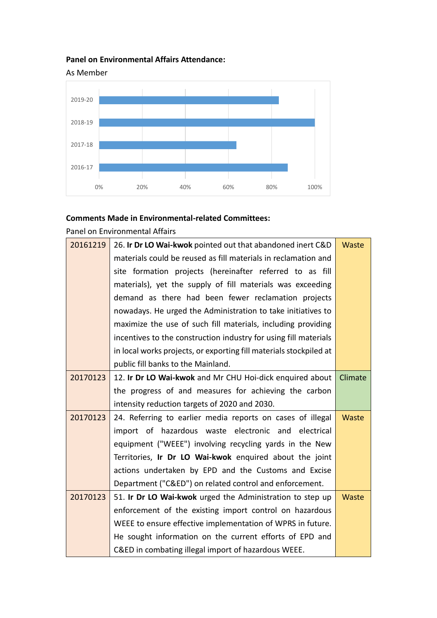## **Panel on Environmental Affairs Attendance:**



#### **Comments Made in Environmental-related Committees:**

Panel on Environmental Affairs

| 20161219 | 26. Ir Dr LO Wai-kwok pointed out that abandoned inert C&D<br>Waste |              |  |  |  |  |
|----------|---------------------------------------------------------------------|--------------|--|--|--|--|
|          | materials could be reused as fill materials in reclamation and      |              |  |  |  |  |
|          | site formation projects (hereinafter referred to as fill            |              |  |  |  |  |
|          | materials), yet the supply of fill materials was exceeding          |              |  |  |  |  |
|          | demand as there had been fewer reclamation projects                 |              |  |  |  |  |
|          | nowadays. He urged the Administration to take initiatives to        |              |  |  |  |  |
|          | maximize the use of such fill materials, including providing        |              |  |  |  |  |
|          | incentives to the construction industry for using fill materials    |              |  |  |  |  |
|          | in local works projects, or exporting fill materials stockpiled at  |              |  |  |  |  |
|          | public fill banks to the Mainland.                                  |              |  |  |  |  |
| 20170123 | Climate<br>12. Ir Dr LO Wai-kwok and Mr CHU Hoi-dick enquired about |              |  |  |  |  |
|          | the progress of and measures for achieving the carbon               |              |  |  |  |  |
|          | intensity reduction targets of 2020 and 2030.                       |              |  |  |  |  |
| 20170123 | 24. Referring to earlier media reports on cases of illegal          |              |  |  |  |  |
|          | import of hazardous waste electronic and electrical                 |              |  |  |  |  |
|          | equipment ("WEEE") involving recycling yards in the New             |              |  |  |  |  |
|          | Territories, Ir Dr LO Wai-kwok enquired about the joint             |              |  |  |  |  |
|          | actions undertaken by EPD and the Customs and Excise                |              |  |  |  |  |
|          | Department ("C&ED") on related control and enforcement.             |              |  |  |  |  |
| 20170123 | 51. Ir Dr LO Wai-kwok urged the Administration to step up           | <b>Waste</b> |  |  |  |  |
|          | enforcement of the existing import control on hazardous             |              |  |  |  |  |
|          | WEEE to ensure effective implementation of WPRS in future.          |              |  |  |  |  |
|          | He sought information on the current efforts of EPD and             |              |  |  |  |  |
|          | C&ED in combating illegal import of hazardous WEEE.                 |              |  |  |  |  |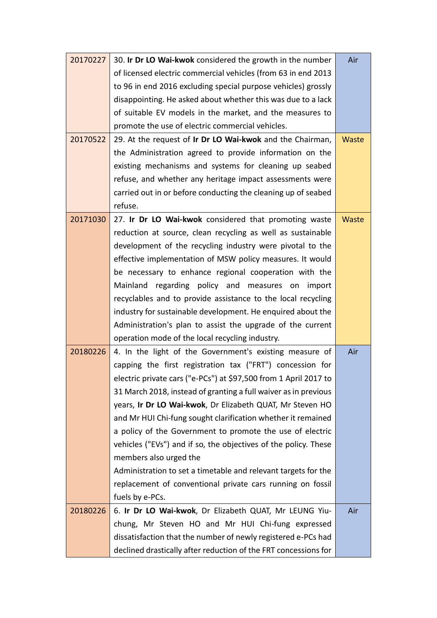| 20170227 | 30. Ir Dr LO Wai-kwok considered the growth in the number        | Air   |  |  |  |  |
|----------|------------------------------------------------------------------|-------|--|--|--|--|
|          | of licensed electric commercial vehicles (from 63 in end 2013    |       |  |  |  |  |
|          | to 96 in end 2016 excluding special purpose vehicles) grossly    |       |  |  |  |  |
|          | disappointing. He asked about whether this was due to a lack     |       |  |  |  |  |
|          | of suitable EV models in the market, and the measures to         |       |  |  |  |  |
|          | promote the use of electric commercial vehicles.                 |       |  |  |  |  |
| 20170522 | 29. At the request of Ir Dr LO Wai-kwok and the Chairman,        | Waste |  |  |  |  |
|          | the Administration agreed to provide information on the          |       |  |  |  |  |
|          | existing mechanisms and systems for cleaning up seabed           |       |  |  |  |  |
|          | refuse, and whether any heritage impact assessments were         |       |  |  |  |  |
|          | carried out in or before conducting the cleaning up of seabed    |       |  |  |  |  |
|          | refuse.                                                          |       |  |  |  |  |
| 20171030 | 27. Ir Dr LO Wai-kwok considered that promoting waste            | Waste |  |  |  |  |
|          | reduction at source, clean recycling as well as sustainable      |       |  |  |  |  |
|          | development of the recycling industry were pivotal to the        |       |  |  |  |  |
|          | effective implementation of MSW policy measures. It would        |       |  |  |  |  |
|          | be necessary to enhance regional cooperation with the            |       |  |  |  |  |
|          | Mainland regarding policy and measures on import                 |       |  |  |  |  |
|          | recyclables and to provide assistance to the local recycling     |       |  |  |  |  |
|          | industry for sustainable development. He enquired about the      |       |  |  |  |  |
|          | Administration's plan to assist the upgrade of the current       |       |  |  |  |  |
|          | operation mode of the local recycling industry.                  |       |  |  |  |  |
| 20180226 | 4. In the light of the Government's existing measure of          | Air   |  |  |  |  |
|          | capping the first registration tax ("FRT") concession for        |       |  |  |  |  |
|          | electric private cars ("e-PCs") at \$97,500 from 1 April 2017 to |       |  |  |  |  |
|          | 31 March 2018, instead of granting a full waiver as in previous  |       |  |  |  |  |
|          | years, Ir Dr LO Wai-kwok, Dr Elizabeth QUAT, Mr Steven HO        |       |  |  |  |  |
|          | and Mr HUI Chi-fung sought clarification whether it remained     |       |  |  |  |  |
|          | a policy of the Government to promote the use of electric        |       |  |  |  |  |
|          | vehicles ("EVs") and if so, the objectives of the policy. These  |       |  |  |  |  |
|          | members also urged the                                           |       |  |  |  |  |
|          | Administration to set a timetable and relevant targets for the   |       |  |  |  |  |
|          | replacement of conventional private cars running on fossil       |       |  |  |  |  |
|          | fuels by e-PCs.                                                  |       |  |  |  |  |
| 20180226 | 6. Ir Dr LO Wai-kwok, Dr Elizabeth QUAT, Mr LEUNG Yiu-           | Air   |  |  |  |  |
|          | chung, Mr Steven HO and Mr HUI Chi-fung expressed                |       |  |  |  |  |
|          | dissatisfaction that the number of newly registered e-PCs had    |       |  |  |  |  |
|          | declined drastically after reduction of the FRT concessions for  |       |  |  |  |  |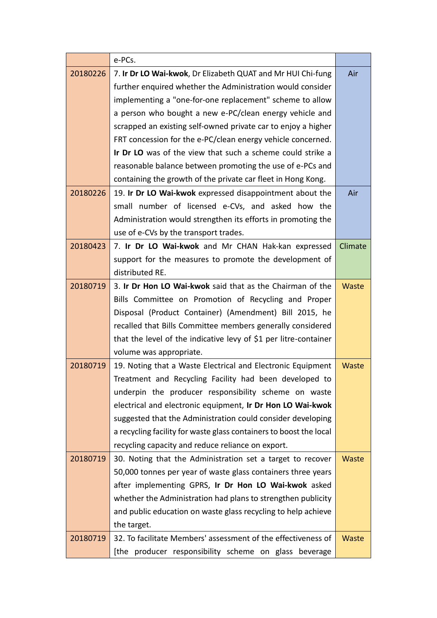|          | e-PCs.                                                             |         |  |  |  |  |  |
|----------|--------------------------------------------------------------------|---------|--|--|--|--|--|
| 20180226 | 7. Ir Dr LO Wai-kwok, Dr Elizabeth QUAT and Mr HUI Chi-fung        |         |  |  |  |  |  |
|          | further enquired whether the Administration would consider         |         |  |  |  |  |  |
|          | implementing a "one-for-one replacement" scheme to allow           |         |  |  |  |  |  |
|          | a person who bought a new e-PC/clean energy vehicle and            |         |  |  |  |  |  |
|          | scrapped an existing self-owned private car to enjoy a higher      |         |  |  |  |  |  |
|          | FRT concession for the e-PC/clean energy vehicle concerned.        |         |  |  |  |  |  |
|          | Ir Dr LO was of the view that such a scheme could strike a         |         |  |  |  |  |  |
|          | reasonable balance between promoting the use of e-PCs and          |         |  |  |  |  |  |
|          | containing the growth of the private car fleet in Hong Kong.       |         |  |  |  |  |  |
| 20180226 | 19. Ir Dr LO Wai-kwok expressed disappointment about the           |         |  |  |  |  |  |
|          | small number of licensed e-CVs, and asked how the                  |         |  |  |  |  |  |
|          | Administration would strengthen its efforts in promoting the       |         |  |  |  |  |  |
|          | use of e-CVs by the transport trades.                              |         |  |  |  |  |  |
| 20180423 | 7. Ir Dr LO Wai-kwok and Mr CHAN Hak-kan expressed                 | Climate |  |  |  |  |  |
|          | support for the measures to promote the development of             |         |  |  |  |  |  |
|          | distributed RE.                                                    |         |  |  |  |  |  |
| 20180719 | 3. Ir Dr Hon LO Wai-kwok said that as the Chairman of the          | Waste   |  |  |  |  |  |
|          | Bills Committee on Promotion of Recycling and Proper               |         |  |  |  |  |  |
|          | Disposal (Product Container) (Amendment) Bill 2015, he             |         |  |  |  |  |  |
|          | recalled that Bills Committee members generally considered         |         |  |  |  |  |  |
|          | that the level of the indicative levy of \$1 per litre-container   |         |  |  |  |  |  |
|          | volume was appropriate.                                            |         |  |  |  |  |  |
| 20180719 | 19. Noting that a Waste Electrical and Electronic Equipment        | Waste   |  |  |  |  |  |
|          | Treatment and Recycling Facility had been developed to             |         |  |  |  |  |  |
|          | underpin the producer responsibility scheme on waste               |         |  |  |  |  |  |
|          | electrical and electronic equipment, Ir Dr Hon LO Wai-kwok         |         |  |  |  |  |  |
|          | suggested that the Administration could consider developing        |         |  |  |  |  |  |
|          | a recycling facility for waste glass containers to boost the local |         |  |  |  |  |  |
|          | recycling capacity and reduce reliance on export.                  |         |  |  |  |  |  |
| 20180719 | 30. Noting that the Administration set a target to recover         | Waste   |  |  |  |  |  |
|          | 50,000 tonnes per year of waste glass containers three years       |         |  |  |  |  |  |
|          | after implementing GPRS, Ir Dr Hon LO Wai-kwok asked               |         |  |  |  |  |  |
|          | whether the Administration had plans to strengthen publicity       |         |  |  |  |  |  |
|          | and public education on waste glass recycling to help achieve      |         |  |  |  |  |  |
|          | the target.                                                        |         |  |  |  |  |  |
| 20180719 | 32. To facilitate Members' assessment of the effectiveness of      | Waste   |  |  |  |  |  |
|          | producer responsibility scheme on glass beverage<br>[the           |         |  |  |  |  |  |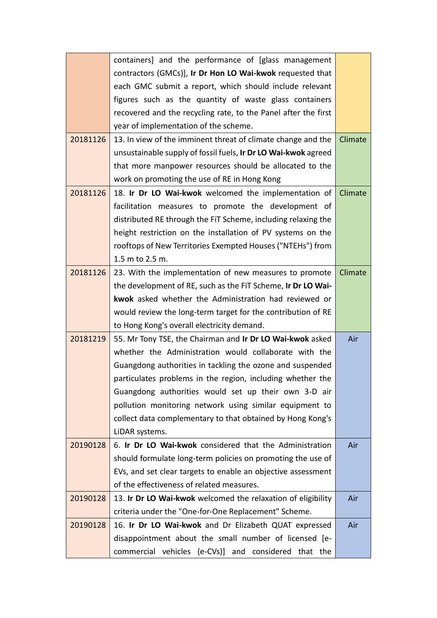|          | containers] and the performance of [glass management              |         |  |  |  |  |  |
|----------|-------------------------------------------------------------------|---------|--|--|--|--|--|
|          | contractors (GMCs)], Ir Dr Hon LO Wai-kwok requested that         |         |  |  |  |  |  |
|          | each GMC submit a report, which should include relevant           |         |  |  |  |  |  |
|          | figures such as the quantity of waste glass containers            |         |  |  |  |  |  |
|          | recovered and the recycling rate, to the Panel after the first    |         |  |  |  |  |  |
|          | year of implementation of the scheme.                             |         |  |  |  |  |  |
| 20181126 | 13. In view of the imminent threat of climate change and the      | Climate |  |  |  |  |  |
|          | unsustainable supply of fossil fuels, Ir Dr LO Wai-kwok agreed    |         |  |  |  |  |  |
|          | that more manpower resources should be allocated to the           |         |  |  |  |  |  |
|          | work on promoting the use of RE in Hong Kong                      |         |  |  |  |  |  |
| 20181126 | 18. Ir Dr LO Wai-kwok welcomed the implementation of<br>Climate   |         |  |  |  |  |  |
|          | facilitation measures to promote the development of               |         |  |  |  |  |  |
|          | distributed RE through the FiT Scheme, including relaxing the     |         |  |  |  |  |  |
|          | height restriction on the installation of PV systems on the       |         |  |  |  |  |  |
|          | rooftops of New Territories Exempted Houses ("NTEHs") from        |         |  |  |  |  |  |
|          | 1.5 m to 2.5 m.                                                   |         |  |  |  |  |  |
| 20181126 | 23. With the implementation of new measures to promote<br>Climate |         |  |  |  |  |  |
|          | the development of RE, such as the FIT Scheme, Ir Dr LO Wai-      |         |  |  |  |  |  |
|          | kwok asked whether the Administration had reviewed or             |         |  |  |  |  |  |
|          | would review the long-term target for the contribution of RE      |         |  |  |  |  |  |
|          | to Hong Kong's overall electricity demand.                        |         |  |  |  |  |  |
| 20181219 | 55. Mr Tony TSE, the Chairman and Ir Dr LO Wai-kwok asked         |         |  |  |  |  |  |
|          | whether the Administration would collaborate with the             |         |  |  |  |  |  |
|          | Guangdong authorities in tackling the ozone and suspended         |         |  |  |  |  |  |
|          | particulates problems in the region, including whether the        |         |  |  |  |  |  |
|          | Guangdong authorities would set up their own 3-D air              |         |  |  |  |  |  |
|          | pollution monitoring network using similar equipment to           |         |  |  |  |  |  |
|          | collect data complementary to that obtained by Hong Kong's        |         |  |  |  |  |  |
|          | LiDAR systems.                                                    |         |  |  |  |  |  |
| 20190128 | 6. Ir Dr LO Wai-kwok considered that the Administration           | Air     |  |  |  |  |  |
|          | should formulate long-term policies on promoting the use of       |         |  |  |  |  |  |
|          | EVs, and set clear targets to enable an objective assessment      |         |  |  |  |  |  |
|          | of the effectiveness of related measures.                         |         |  |  |  |  |  |
| 20190128 | 13. Ir Dr LO Wai-kwok welcomed the relaxation of eligibility      | Air     |  |  |  |  |  |
|          | criteria under the "One-for-One Replacement" Scheme.              |         |  |  |  |  |  |
| 20190128 | 16. Ir Dr LO Wai-kwok and Dr Elizabeth QUAT expressed             | Air     |  |  |  |  |  |
|          | disappointment about the small number of licensed [e-             |         |  |  |  |  |  |
|          | commercial vehicles (e-CVs)] and considered that the              |         |  |  |  |  |  |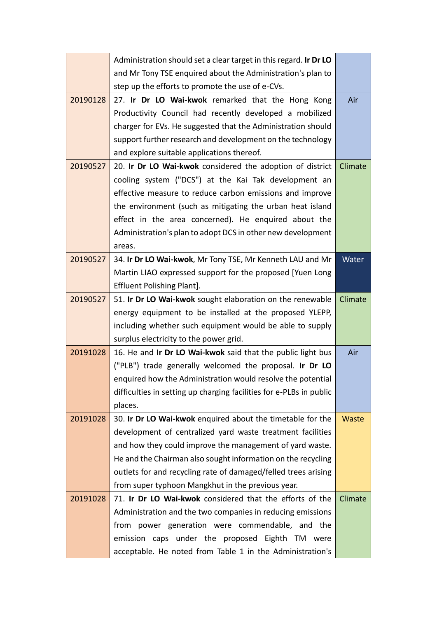|          | Administration should set a clear target in this regard. Ir Dr LO   |         |  |  |  |  |
|----------|---------------------------------------------------------------------|---------|--|--|--|--|
|          | and Mr Tony TSE enquired about the Administration's plan to         |         |  |  |  |  |
|          | step up the efforts to promote the use of e-CVs.                    |         |  |  |  |  |
| 20190128 | 27. Ir Dr LO Wai-kwok remarked that the Hong Kong                   | Air     |  |  |  |  |
|          | Productivity Council had recently developed a mobilized             |         |  |  |  |  |
|          | charger for EVs. He suggested that the Administration should        |         |  |  |  |  |
|          | support further research and development on the technology          |         |  |  |  |  |
|          | and explore suitable applications thereof.                          |         |  |  |  |  |
| 20190527 | 20. Ir Dr LO Wai-kwok considered the adoption of district           | Climate |  |  |  |  |
|          | cooling system ("DCS") at the Kai Tak development an                |         |  |  |  |  |
|          | effective measure to reduce carbon emissions and improve            |         |  |  |  |  |
|          | the environment (such as mitigating the urban heat island           |         |  |  |  |  |
|          | effect in the area concerned). He enquired about the                |         |  |  |  |  |
|          | Administration's plan to adopt DCS in other new development         |         |  |  |  |  |
|          | areas.                                                              |         |  |  |  |  |
| 20190527 | 34. Ir Dr LO Wai-kwok, Mr Tony TSE, Mr Kenneth LAU and Mr           | Water   |  |  |  |  |
|          | Martin LIAO expressed support for the proposed [Yuen Long           |         |  |  |  |  |
|          | Effluent Polishing Plant].                                          |         |  |  |  |  |
| 20190527 | 51. Ir Dr LO Wai-kwok sought elaboration on the renewable           | Climate |  |  |  |  |
|          | energy equipment to be installed at the proposed YLEPP,             |         |  |  |  |  |
|          | including whether such equipment would be able to supply            |         |  |  |  |  |
|          | surplus electricity to the power grid.                              |         |  |  |  |  |
| 20191028 | 16. He and Ir Dr LO Wai-kwok said that the public light bus         | Air     |  |  |  |  |
|          | ("PLB") trade generally welcomed the proposal. Ir Dr LO             |         |  |  |  |  |
|          | enquired how the Administration would resolve the potential         |         |  |  |  |  |
|          | difficulties in setting up charging facilities for e-PLBs in public |         |  |  |  |  |
|          | places.                                                             |         |  |  |  |  |
| 20191028 | 30. Ir Dr LO Wai-kwok enquired about the timetable for the          | Waste   |  |  |  |  |
|          | development of centralized yard waste treatment facilities          |         |  |  |  |  |
|          | and how they could improve the management of yard waste.            |         |  |  |  |  |
|          | He and the Chairman also sought information on the recycling        |         |  |  |  |  |
|          | outlets for and recycling rate of damaged/felled trees arising      |         |  |  |  |  |
|          | from super typhoon Mangkhut in the previous year.                   |         |  |  |  |  |
| 20191028 | 71. Ir Dr LO Wai-kwok considered that the efforts of the            | Climate |  |  |  |  |
|          | Administration and the two companies in reducing emissions          |         |  |  |  |  |
|          | from power generation were commendable, and the                     |         |  |  |  |  |
|          | emission caps under the proposed Eighth TM were                     |         |  |  |  |  |
|          | acceptable. He noted from Table 1 in the Administration's           |         |  |  |  |  |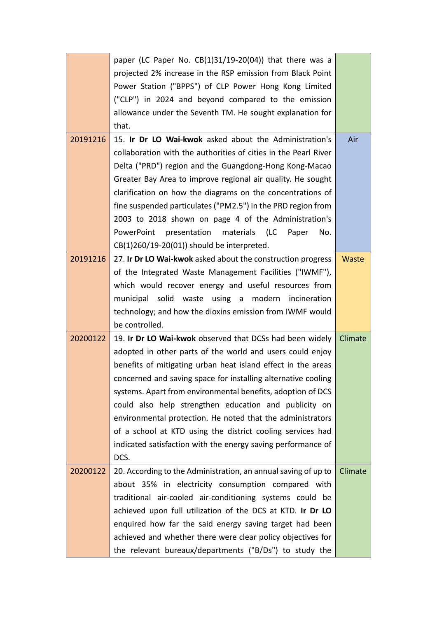|          | paper (LC Paper No. $CB(1)31/19-20(04)$ ) that there was a      |         |  |  |  |  |
|----------|-----------------------------------------------------------------|---------|--|--|--|--|
|          | projected 2% increase in the RSP emission from Black Point      |         |  |  |  |  |
|          | Power Station ("BPPS") of CLP Power Hong Kong Limited           |         |  |  |  |  |
|          | ("CLP") in 2024 and beyond compared to the emission             |         |  |  |  |  |
|          | allowance under the Seventh TM. He sought explanation for       |         |  |  |  |  |
|          | that.                                                           |         |  |  |  |  |
| 20191216 | 15. Ir Dr LO Wai-kwok asked about the Administration's          | Air     |  |  |  |  |
|          | collaboration with the authorities of cities in the Pearl River |         |  |  |  |  |
|          | Delta ("PRD") region and the Guangdong-Hong Kong-Macao          |         |  |  |  |  |
|          | Greater Bay Area to improve regional air quality. He sought     |         |  |  |  |  |
|          | clarification on how the diagrams on the concentrations of      |         |  |  |  |  |
|          | fine suspended particulates ("PM2.5") in the PRD region from    |         |  |  |  |  |
|          | 2003 to 2018 shown on page 4 of the Administration's            |         |  |  |  |  |
|          | PowerPoint presentation materials<br>(LC<br>No.<br>Paper        |         |  |  |  |  |
|          | CB(1)260/19-20(01)) should be interpreted.                      |         |  |  |  |  |
| 20191216 | 27. Ir Dr LO Wai-kwok asked about the construction progress     | Waste   |  |  |  |  |
|          | of the Integrated Waste Management Facilities ("IWMF"),         |         |  |  |  |  |
|          | which would recover energy and useful resources from            |         |  |  |  |  |
|          | municipal solid waste<br>using a modern<br>incineration         |         |  |  |  |  |
|          | technology; and how the dioxins emission from IWMF would        |         |  |  |  |  |
|          | be controlled.                                                  |         |  |  |  |  |
| 20200122 | 19. Ir Dr LO Wai-kwok observed that DCSs had been widely        | Climate |  |  |  |  |
|          | adopted in other parts of the world and users could enjoy       |         |  |  |  |  |
|          | benefits of mitigating urban heat island effect in the areas    |         |  |  |  |  |
|          | concerned and saving space for installing alternative cooling   |         |  |  |  |  |
|          | systems. Apart from environmental benefits, adoption of DCS     |         |  |  |  |  |
|          | could also help strengthen education and publicity on           |         |  |  |  |  |
|          | environmental protection. He noted that the administrators      |         |  |  |  |  |
|          | of a school at KTD using the district cooling services had      |         |  |  |  |  |
|          | indicated satisfaction with the energy saving performance of    |         |  |  |  |  |
|          | DCS.                                                            |         |  |  |  |  |
| 20200122 | 20. According to the Administration, an annual saving of up to  | Climate |  |  |  |  |
|          | about 35% in electricity consumption compared with              |         |  |  |  |  |
|          | traditional air-cooled air-conditioning systems could be        |         |  |  |  |  |
|          | achieved upon full utilization of the DCS at KTD. Ir Dr LO      |         |  |  |  |  |
|          | enquired how far the said energy saving target had been         |         |  |  |  |  |
|          | achieved and whether there were clear policy objectives for     |         |  |  |  |  |
|          | the relevant bureaux/departments ("B/Ds") to study the          |         |  |  |  |  |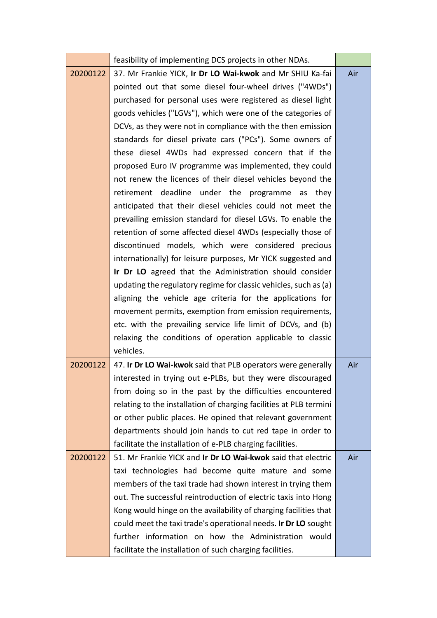|          | feasibility of implementing DCS projects in other NDAs.            |     |  |  |
|----------|--------------------------------------------------------------------|-----|--|--|
| 20200122 | 37. Mr Frankie YICK, Ir Dr LO Wai-kwok and Mr SHIU Ka-fai          |     |  |  |
|          | pointed out that some diesel four-wheel drives ("4WDs")            |     |  |  |
|          | purchased for personal uses were registered as diesel light        |     |  |  |
|          | goods vehicles ("LGVs"), which were one of the categories of       |     |  |  |
|          | DCVs, as they were not in compliance with the then emission        |     |  |  |
|          | standards for diesel private cars ("PCs"). Some owners of          |     |  |  |
|          | these diesel 4WDs had expressed concern that if the                |     |  |  |
|          | proposed Euro IV programme was implemented, they could             |     |  |  |
|          | not renew the licences of their diesel vehicles beyond the         |     |  |  |
|          | retirement deadline under the programme<br>as they                 |     |  |  |
|          | anticipated that their diesel vehicles could not meet the          |     |  |  |
|          | prevailing emission standard for diesel LGVs. To enable the        |     |  |  |
|          | retention of some affected diesel 4WDs (especially those of        |     |  |  |
|          | discontinued models, which were considered precious                |     |  |  |
|          | internationally) for leisure purposes, Mr YICK suggested and       |     |  |  |
|          | Ir Dr LO agreed that the Administration should consider            |     |  |  |
|          | updating the regulatory regime for classic vehicles, such as (a)   |     |  |  |
|          | aligning the vehicle age criteria for the applications for         |     |  |  |
|          | movement permits, exemption from emission requirements,            |     |  |  |
|          | etc. with the prevailing service life limit of DCVs, and (b)       |     |  |  |
|          | relaxing the conditions of operation applicable to classic         |     |  |  |
|          | vehicles.                                                          |     |  |  |
| 20200122 | 47. Ir Dr LO Wai-kwok said that PLB operators were generally       | Air |  |  |
|          | interested in trying out e-PLBs, but they were discouraged         |     |  |  |
|          | from doing so in the past by the difficulties encountered          |     |  |  |
|          | relating to the installation of charging facilities at PLB termini |     |  |  |
|          | or other public places. He opined that relevant government         |     |  |  |
|          | departments should join hands to cut red tape in order to          |     |  |  |
|          | facilitate the installation of e-PLB charging facilities.          |     |  |  |
| 20200122 | 51. Mr Frankie YICK and Ir Dr LO Wai-kwok said that electric       | Air |  |  |
|          | taxi technologies had become quite mature and some                 |     |  |  |
|          | members of the taxi trade had shown interest in trying them        |     |  |  |
|          | out. The successful reintroduction of electric taxis into Hong     |     |  |  |
|          | Kong would hinge on the availability of charging facilities that   |     |  |  |
|          | could meet the taxi trade's operational needs. Ir Dr LO sought     |     |  |  |
|          | further information on how the Administration would                |     |  |  |
|          | facilitate the installation of such charging facilities.           |     |  |  |